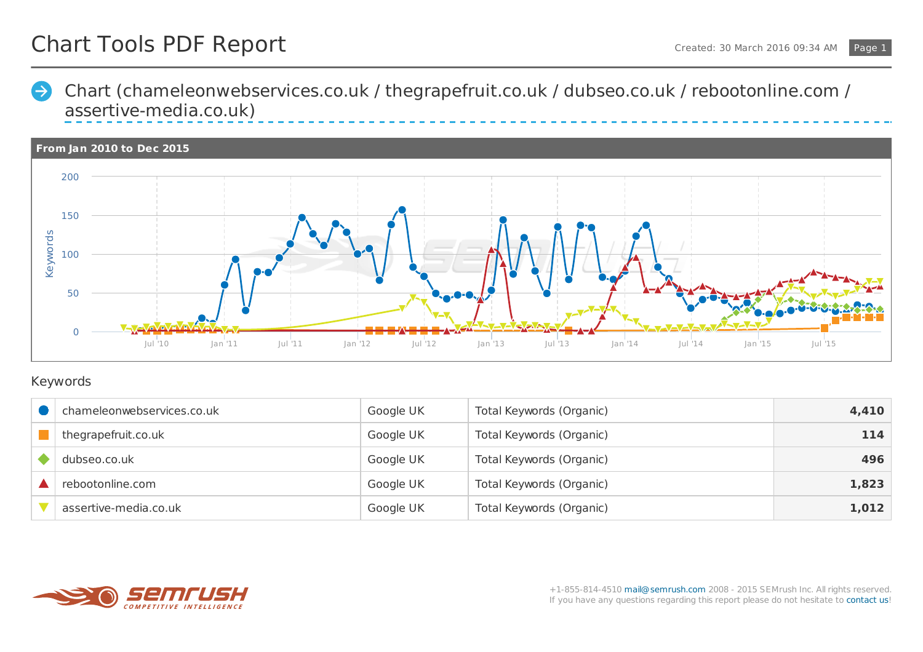Chart [\(chameleonwebservices.co.uk](https://www.semrush.com/info/history/index.html/plot/line/01-01-2010/31-12-2015/chameleonwebservices.co.uk/uk/Or/thegrapefruit.co.uk/uk/Or/dubseo.co.uk/uk/Or/rebootonline.com/uk/Or/assertive-media.co.uk/uk/Or) / thegrapefruit.co.uk / dubseo.co.uk / rebootonline.com /  $\Rightarrow$ assertive-media.co.uk)



## Keywords

| chameleonwebservices.co.uk | Google UK | Total Keywords (Organic) | 4,410 |
|----------------------------|-----------|--------------------------|-------|
| thegrapefruit.co.uk        | Google UK | Total Keywords (Organic) | 114   |
| dubseo.co.uk               | Google UK | Total Keywords (Organic) | 496   |
| rebootonline.com           | Google UK | Total Keywords (Organic) | 1,823 |
| assertive-media.co.uk      | Google UK | Total Keywords (Organic) | 1,012 |

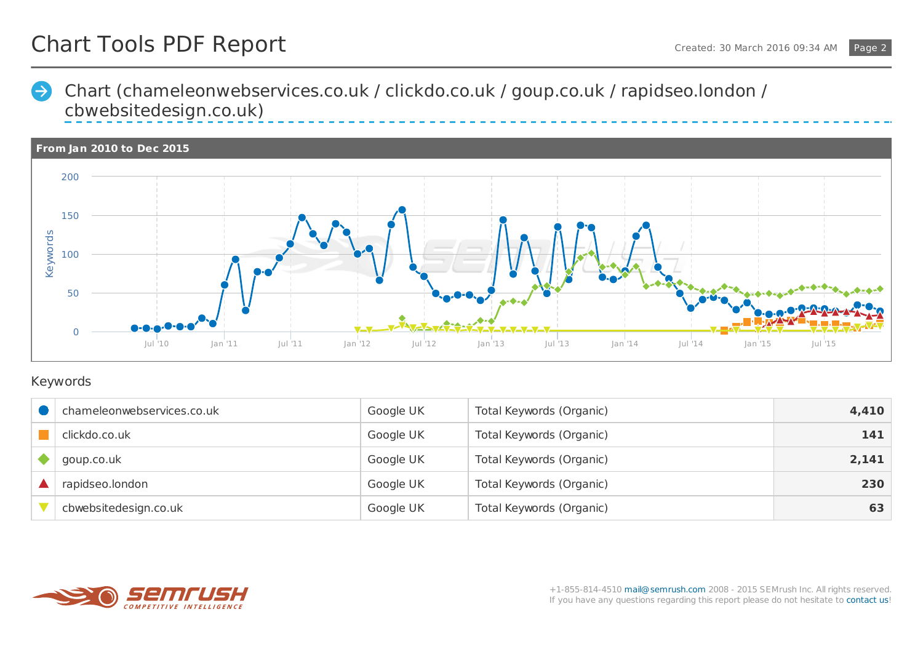Chart [\(chameleonwebservices.co.uk](https://www.semrush.com/info/history/index.html/plot/line/01-01-2010/31-12-2015/chameleonwebservices.co.uk/uk/Or/clickdo.co.uk/uk/Or/goup.co.uk/uk/Or/rapidseo.london/uk/Or/cbwebsitedesign.co.uk/uk/Or) / clickdo.co.uk / goup.co.uk / rapidseo.london /  $\rightarrow$ cbwebsitedesign.co.uk)



## Keywords

| chameleonwebservices.co.uk | Google UK | Total Keywords (Organic) | 4,410 |
|----------------------------|-----------|--------------------------|-------|
| clickdo.co.uk              | Google UK | Total Keywords (Organic) | 141   |
| goup.co.uk                 | Google UK | Total Keywords (Organic) | 2,141 |
| rapidseo.london            | Google UK | Total Keywords (Organic) | 230   |
| cbwebsitedesign.co.uk      | Google UK | Total Keywords (Organic) | 63    |